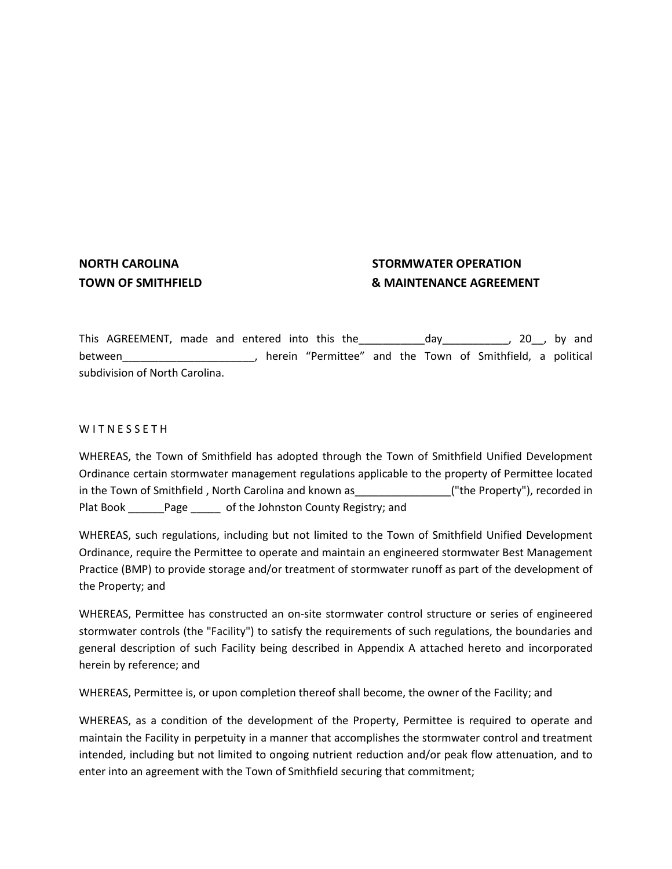## **NORTH CAROLINA STORMWATER OPERATION TOWN OF SMITHFIELD & MAINTENANCE AGREEMENT**

This AGREEMENT, made and entered into this the \_\_\_\_\_\_\_\_\_\_\_\_\_\_day\_\_\_\_\_\_\_\_\_\_\_\_, 20\_\_, by and between\_\_\_\_\_\_\_\_\_\_\_\_\_\_\_\_\_\_\_\_\_\_\_, herein "Permittee" and the Town of Smithfield, a political subdivision of North Carolina.

#### W I T N E S S E T H

WHEREAS, the Town of Smithfield has adopted through the Town of Smithfield Unified Development Ordinance certain stormwater management regulations applicable to the property of Permittee located in the Town of Smithfield, North Carolina and known as \_\_\_\_\_\_\_\_\_\_\_\_\_\_\_\_("the Property"), recorded in Plat Book Page of the Johnston County Registry; and

WHEREAS, such regulations, including but not limited to the Town of Smithfield Unified Development Ordinance, require the Permittee to operate and maintain an engineered stormwater Best Management Practice (BMP) to provide storage and/or treatment of stormwater runoff as part of the development of the Property; and

WHEREAS, Permittee has constructed an on-site stormwater control structure or series of engineered stormwater controls (the "Facility") to satisfy the requirements of such regulations, the boundaries and general description of such Facility being described in Appendix A attached hereto and incorporated herein by reference; and

WHEREAS, Permittee is, or upon completion thereof shall become, the owner of the Facility; and

WHEREAS, as a condition of the development of the Property, Permittee is required to operate and maintain the Facility in perpetuity in a manner that accomplishes the stormwater control and treatment intended, including but not limited to ongoing nutrient reduction and/or peak flow attenuation, and to enter into an agreement with the Town of Smithfield securing that commitment;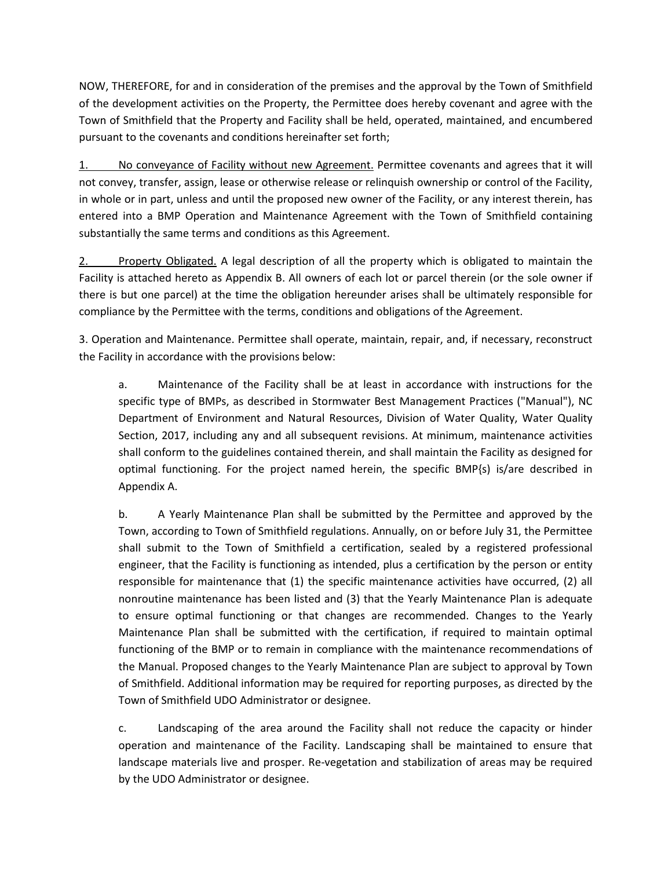NOW, THEREFORE, for and in consideration of the premises and the approval by the Town of Smithfield of the development activities on the Property, the Permittee does hereby covenant and agree with the Town of Smithfield that the Property and Facility shall be held, operated, maintained, and encumbered pursuant to the covenants and conditions hereinafter set forth;

1. No conveyance of Facility without new Agreement. Permittee covenants and agrees that it will not convey, transfer, assign, lease or otherwise release or relinquish ownership or control of the Facility, in whole or in part, unless and until the proposed new owner of the Facility, or any interest therein, has entered into a BMP Operation and Maintenance Agreement with the Town of Smithfield containing substantially the same terms and conditions as this Agreement.

2. Property Obligated. A legal description of all the property which is obligated to maintain the Facility is attached hereto as Appendix B. All owners of each lot or parcel therein (or the sole owner if there is but one parcel) at the time the obligation hereunder arises shall be ultimately responsible for compliance by the Permittee with the terms, conditions and obligations of the Agreement.

3. Operation and Maintenance. Permittee shall operate, maintain, repair, and, if necessary, reconstruct the Facility in accordance with the provisions below:

a. Maintenance of the Facility shall be at least in accordance with instructions for the specific type of BMPs, as described in Stormwater Best Management Practices ("Manual"), NC Department of Environment and Natural Resources, Division of Water Quality, Water Quality Section, 2017, including any and all subsequent revisions. At minimum, maintenance activities shall conform to the guidelines contained therein, and shall maintain the Facility as designed for optimal functioning. For the project named herein, the specific BMP{s) is/are described in Appendix A.

b. A Yearly Maintenance Plan shall be submitted by the Permittee and approved by the Town, according to Town of Smithfield regulations. Annually, on or before July 31, the Permittee shall submit to the Town of Smithfield a certification, sealed by a registered professional engineer, that the Facility is functioning as intended, plus a certification by the person or entity responsible for maintenance that (1) the specific maintenance activities have occurred, (2) all nonroutine maintenance has been listed and (3) that the Yearly Maintenance Plan is adequate to ensure optimal functioning or that changes are recommended. Changes to the Yearly Maintenance Plan shall be submitted with the certification, if required to maintain optimal functioning of the BMP or to remain in compliance with the maintenance recommendations of the Manual. Proposed changes to the Yearly Maintenance Plan are subject to approval by Town of Smithfield. Additional information may be required for reporting purposes, as directed by the Town of Smithfield UDO Administrator or designee.

c. Landscaping of the area around the Facility shall not reduce the capacity or hinder operation and maintenance of the Facility. Landscaping shall be maintained to ensure that landscape materials live and prosper. Re-vegetation and stabilization of areas may be required by the UDO Administrator or designee.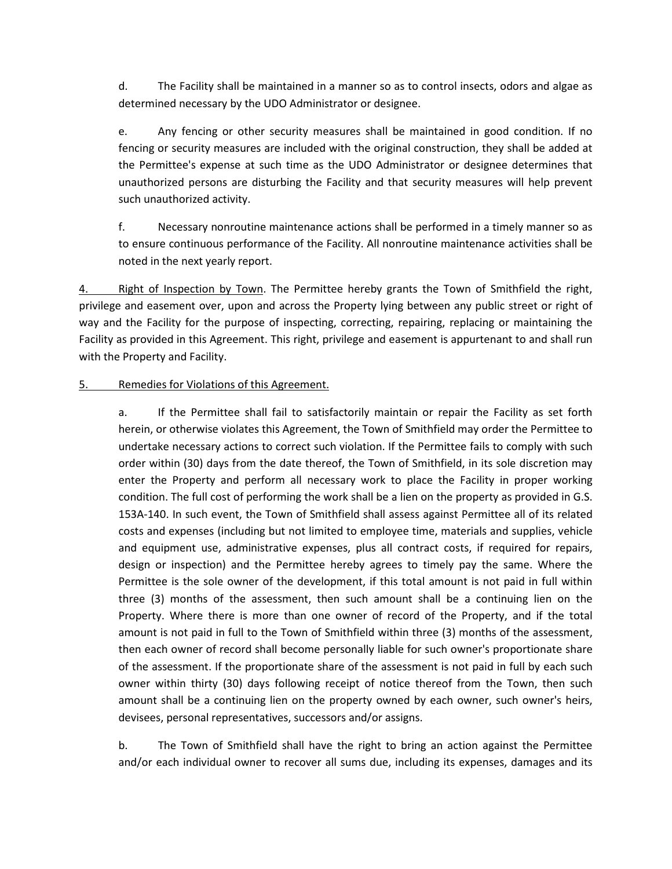d. The Facility shall be maintained in a manner so as to control insects, odors and algae as determined necessary by the UDO Administrator or designee.

e. Any fencing or other security measures shall be maintained in good condition. If no fencing or security measures are included with the original construction, they shall be added at the Permittee's expense at such time as the UDO Administrator or designee determines that unauthorized persons are disturbing the Facility and that security measures will help prevent such unauthorized activity.

f. Necessary nonroutine maintenance actions shall be performed in a timely manner so as to ensure continuous performance of the Facility. All nonroutine maintenance activities shall be noted in the next yearly report.

4. Right of Inspection by Town. The Permittee hereby grants the Town of Smithfield the right, privilege and easement over, upon and across the Property lying between any public street or right of way and the Facility for the purpose of inspecting, correcting, repairing, replacing or maintaining the Facility as provided in this Agreement. This right, privilege and easement is appurtenant to and shall run with the Property and Facility.

### 5. Remedies for Violations of this Agreement.

a. If the Permittee shall fail to satisfactorily maintain or repair the Facility as set forth herein, or otherwise violates this Agreement, the Town of Smithfield may order the Permittee to undertake necessary actions to correct such violation. If the Permittee fails to comply with such order within (30) days from the date thereof, the Town of Smithfield, in its sole discretion may enter the Property and perform all necessary work to place the Facility in proper working condition. The full cost of performing the work shall be a lien on the property as provided in G.S. 153A-140. In such event, the Town of Smithfield shall assess against Permittee all of its related costs and expenses (including but not limited to employee time, materials and supplies, vehicle and equipment use, administrative expenses, plus all contract costs, if required for repairs, design or inspection) and the Permittee hereby agrees to timely pay the same. Where the Permittee is the sole owner of the development, if this total amount is not paid in full within three (3) months of the assessment, then such amount shall be a continuing lien on the Property. Where there is more than one owner of record of the Property, and if the total amount is not paid in full to the Town of Smithfield within three (3) months of the assessment, then each owner of record shall become personally liable for such owner's proportionate share of the assessment. If the proportionate share of the assessment is not paid in full by each such owner within thirty (30) days following receipt of notice thereof from the Town, then such amount shall be a continuing lien on the property owned by each owner, such owner's heirs, devisees, personal representatives, successors and/or assigns.

b. The Town of Smithfield shall have the right to bring an action against the Permittee and/or each individual owner to recover all sums due, including its expenses, damages and its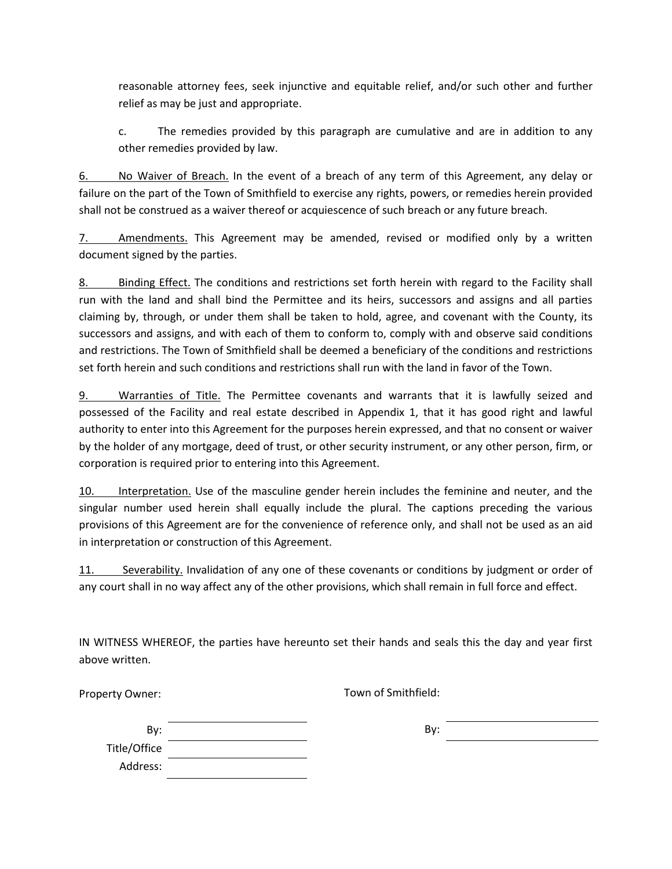reasonable attorney fees, seek injunctive and equitable relief, and/or such other and further relief as may be just and appropriate.

c. The remedies provided by this paragraph are cumulative and are in addition to any other remedies provided by law.

6. No Waiver of Breach. In the event of a breach of any term of this Agreement, any delay or failure on the part of the Town of Smithfield to exercise any rights, powers, or remedies herein provided shall not be construed as a waiver thereof or acquiescence of such breach or any future breach.

7. Amendments. This Agreement may be amended, revised or modified only by a written document signed by the parties.

8. Binding Effect. The conditions and restrictions set forth herein with regard to the Facility shall run with the land and shall bind the Permittee and its heirs, successors and assigns and all parties claiming by, through, or under them shall be taken to hold, agree, and covenant with the County, its successors and assigns, and with each of them to conform to, comply with and observe said conditions and restrictions. The Town of Smithfield shall be deemed a beneficiary of the conditions and restrictions set forth herein and such conditions and restrictions shall run with the land in favor of the Town.

9. Warranties of Title. The Permittee covenants and warrants that it is lawfully seized and possessed of the Facility and real estate described in Appendix 1, that it has good right and lawful authority to enter into this Agreement for the purposes herein expressed, and that no consent or waiver by the holder of any mortgage, deed of trust, or other security instrument, or any other person, firm, or corporation is required prior to entering into this Agreement.

10. Interpretation. Use of the masculine gender herein includes the feminine and neuter, and the singular number used herein shall equally include the plural. The captions preceding the various provisions of this Agreement are for the convenience of reference only, and shall not be used as an aid in interpretation or construction of this Agreement.

11. Severability. Invalidation of any one of these covenants or conditions by judgment or order of any court shall in no way affect any of the other provisions, which shall remain in full force and effect.

IN WITNESS WHEREOF, the parties have hereunto set their hands and seals this the day and year first above written.

Property Owner:

Town of Smithfield:

| By:          |  |
|--------------|--|
| Title/Office |  |
| Address:     |  |

By: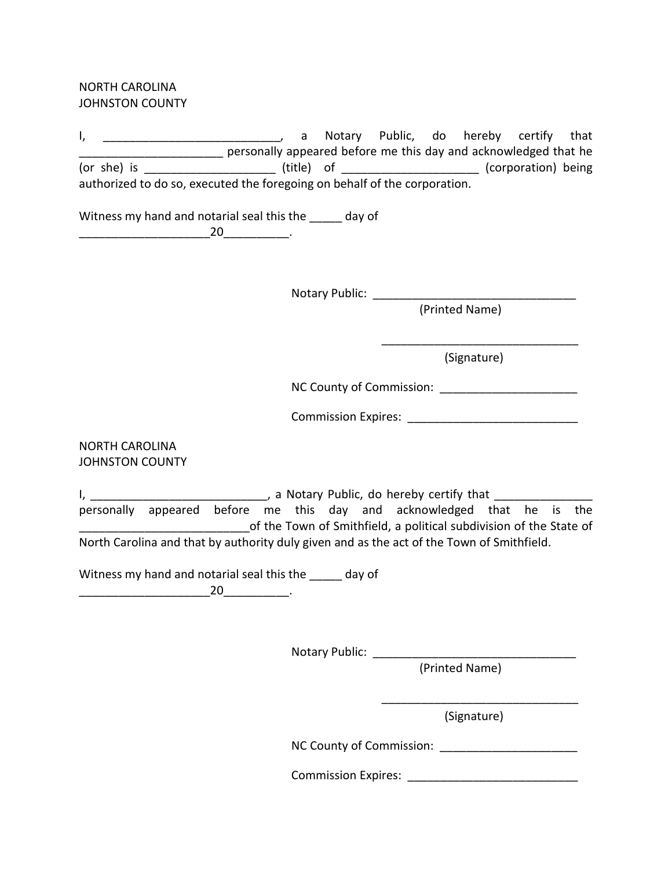NORTH CAROLINA JOHNSTON COUNTY

I, \_\_\_\_\_\_\_\_\_\_\_\_\_\_\_\_\_\_\_\_\_\_\_\_\_\_\_\_\_\_, a Notary Public, do hereby certify that \_\_\_\_\_\_\_\_\_\_\_\_\_\_\_\_\_\_\_\_\_\_ personally appeared before me this day and acknowledged that he (or she) is \_\_\_\_\_\_\_\_\_\_\_\_\_\_\_\_\_\_\_\_\_\_\_\_\_\_\_\_\_ (title) of \_\_\_\_\_\_\_\_\_\_\_\_\_\_\_\_\_\_\_\_\_\_\_\_\_\_\_\_\_\_\_\_ (corporation) being authorized to do so, executed the foregoing on behalf of the corporation.

Witness my hand and notarial seal this the same day of \_\_\_\_\_\_\_\_\_\_\_\_\_\_\_\_\_\_\_\_20\_\_\_\_\_\_\_\_\_\_.

Notary Public: \_\_\_\_\_\_\_\_\_\_\_\_\_\_\_\_\_\_\_\_\_\_\_\_\_\_\_\_\_\_\_

(Printed Name)

 $\overline{\phantom{a}}$  , we can consider the constraint of the constraint  $\overline{\phantom{a}}$ (Signature)

NC County of Commission:

Commission Expires:

NORTH CAROLINA JOHNSTON COUNTY

I, \_\_\_\_\_\_\_\_\_\_\_\_\_\_\_\_\_\_\_\_\_\_\_\_\_\_\_\_\_\_\_\_, a Notary Public, do hereby certify that \_\_\_\_\_\_\_\_\_\_\_\_\_\_\_\_\_\_\_\_\_\_ personally appeared before me this day and acknowledged that he is the \_\_\_\_\_\_\_\_\_\_\_\_\_\_\_\_\_\_\_\_\_\_\_\_\_\_of the Town of Smithfield, a political subdivision of the State of North Carolina and that by authority duly given and as the act of the Town of Smithfield.

Witness my hand and notarial seal this the \_\_\_\_\_ day of

 $20$   $\qquad \qquad$ 

Notary Public: \_\_\_\_\_\_\_\_\_\_\_\_\_\_\_\_\_\_\_\_\_\_\_\_\_\_\_\_\_\_\_

(Printed Name)

 $\overline{\phantom{a}}$  , we can consider the constraint of the constraint  $\overline{\phantom{a}}$ (Signature)

NC County of Commission: \_\_\_\_\_\_\_\_\_\_\_\_\_\_\_\_\_\_\_\_\_

Commission Expires: \_\_\_\_\_\_\_\_\_\_\_\_\_\_\_\_\_\_\_\_\_\_\_\_\_\_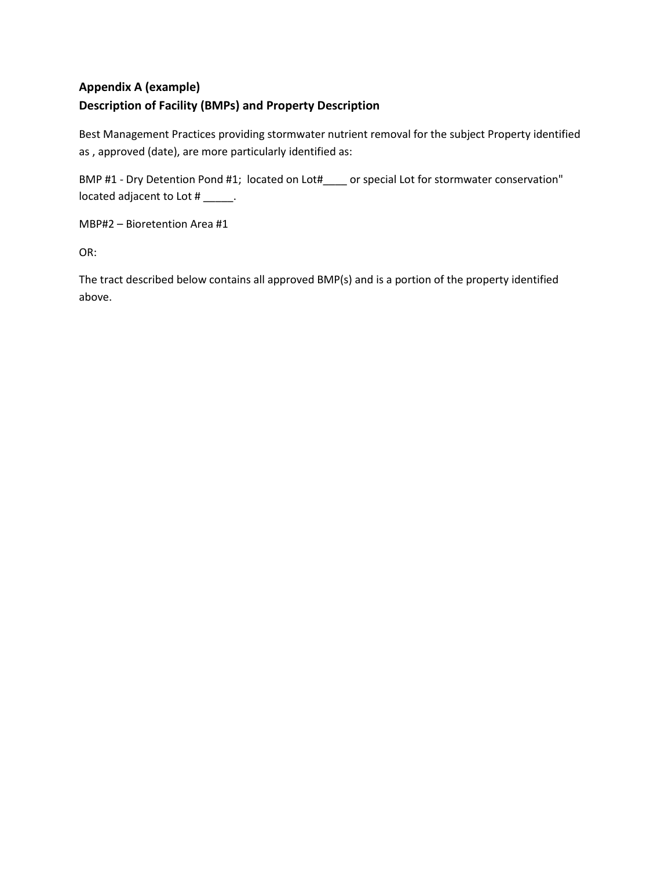## **Appendix A (example) Description of Facility (BMPs) and Property Description**

Best Management Practices providing stormwater nutrient removal for the subject Property identified as , approved (date), are more particularly identified as:

BMP #1 - Dry Detention Pond #1; located on Lot#\_\_\_\_ or special Lot for stormwater conservation" located adjacent to Lot # \_\_\_\_\_.

MBP#2 – Bioretention Area #1

OR:

The tract described below contains all approved BMP(s) and is a portion of the property identified above.